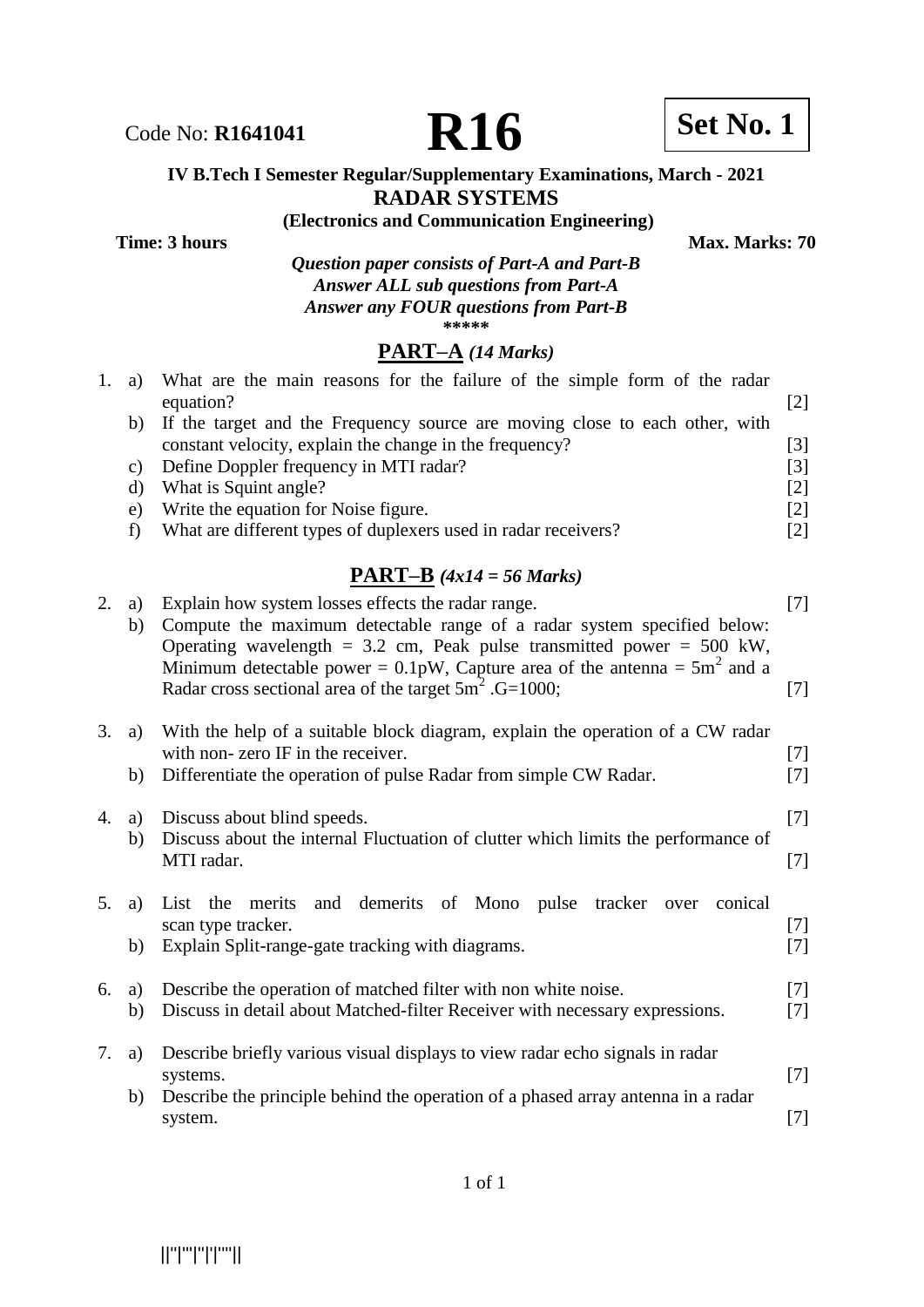# Code No: **R1641041 R16 Bu**

#### **IV B.Tech I Semester Regular/Supplementary Examinations, March - 2021 RADAR SYSTEMS**

**(Electronics and Communication Engineering) Time: 3 hours** Max. Marks: 70

*Question paper consists of Part-A and Part-B Answer ALL sub questions from Part-A Answer any FOUR questions from Part-B*  **\*\*\*\*\***

# **PART–A** *(14 Marks)*

|    | a) What are the main reasons for the failure of the simple form of the radar   |                   |
|----|--------------------------------------------------------------------------------|-------------------|
|    | equation?                                                                      |                   |
|    | b) If the target and the Frequency source are moving close to each other, with |                   |
|    | constant velocity, explain the change in the frequency?                        | [3]               |
| C) | Define Doppler frequency in MTI radar?                                         | [3]               |
| d) | What is Squint angle?                                                          | $\lceil 2 \rceil$ |
| e) | Write the equation for Noise figure.                                           | [2]               |
|    | What are different types of duplexers used in radar receivers?                 | 121               |
|    |                                                                                |                   |

#### **PART–B** *(4x14 = 56 Marks)*

| 2.      | a)<br>b) | Explain how system losses effects the radar range.<br>Compute the maximum detectable range of a radar system specified below:<br>Operating wavelength = $3.2$ cm, Peak pulse transmitted power = $500$ kW,<br>Minimum detectable power = $0.1$ pW, Capture area of the antenna = $5m2$ and a | $[7]$          |
|---------|----------|----------------------------------------------------------------------------------------------------------------------------------------------------------------------------------------------------------------------------------------------------------------------------------------------|----------------|
|         |          | Radar cross sectional area of the target $5m^2$ . G=1000;                                                                                                                                                                                                                                    | $[7]$          |
| 3.      | a)       | With the help of a suitable block diagram, explain the operation of a CW radar<br>with non-zero IF in the receiver.                                                                                                                                                                          | $[7]$          |
|         | b)       | Differentiate the operation of pulse Radar from simple CW Radar.                                                                                                                                                                                                                             | $[7]$          |
| 4.      | a)<br>b) | Discuss about blind speeds.<br>Discuss about the internal Fluctuation of clutter which limits the performance of                                                                                                                                                                             | $[7]$          |
|         |          | MTI radar.                                                                                                                                                                                                                                                                                   | $[7]$          |
| $5_{-}$ | a)       | and demerits of Mono pulse<br>List the merits<br>tracker<br>conical<br>over<br>scan type tracker.                                                                                                                                                                                            | $[7]$          |
|         | b)       | Explain Split-range-gate tracking with diagrams.                                                                                                                                                                                                                                             | $[7]$          |
| 6.      | a)<br>b) | Describe the operation of matched filter with non white noise.<br>Discuss in detail about Matched-filter Receiver with necessary expressions.                                                                                                                                                | $[7]$<br>$[7]$ |
| 7.      | a)       | Describe briefly various visual displays to view radar echo signals in radar<br>systems.                                                                                                                                                                                                     | $[7]$          |
|         | b)       | Describe the principle behind the operation of a phased array antenna in a radar<br>system.                                                                                                                                                                                                  | $[7]$          |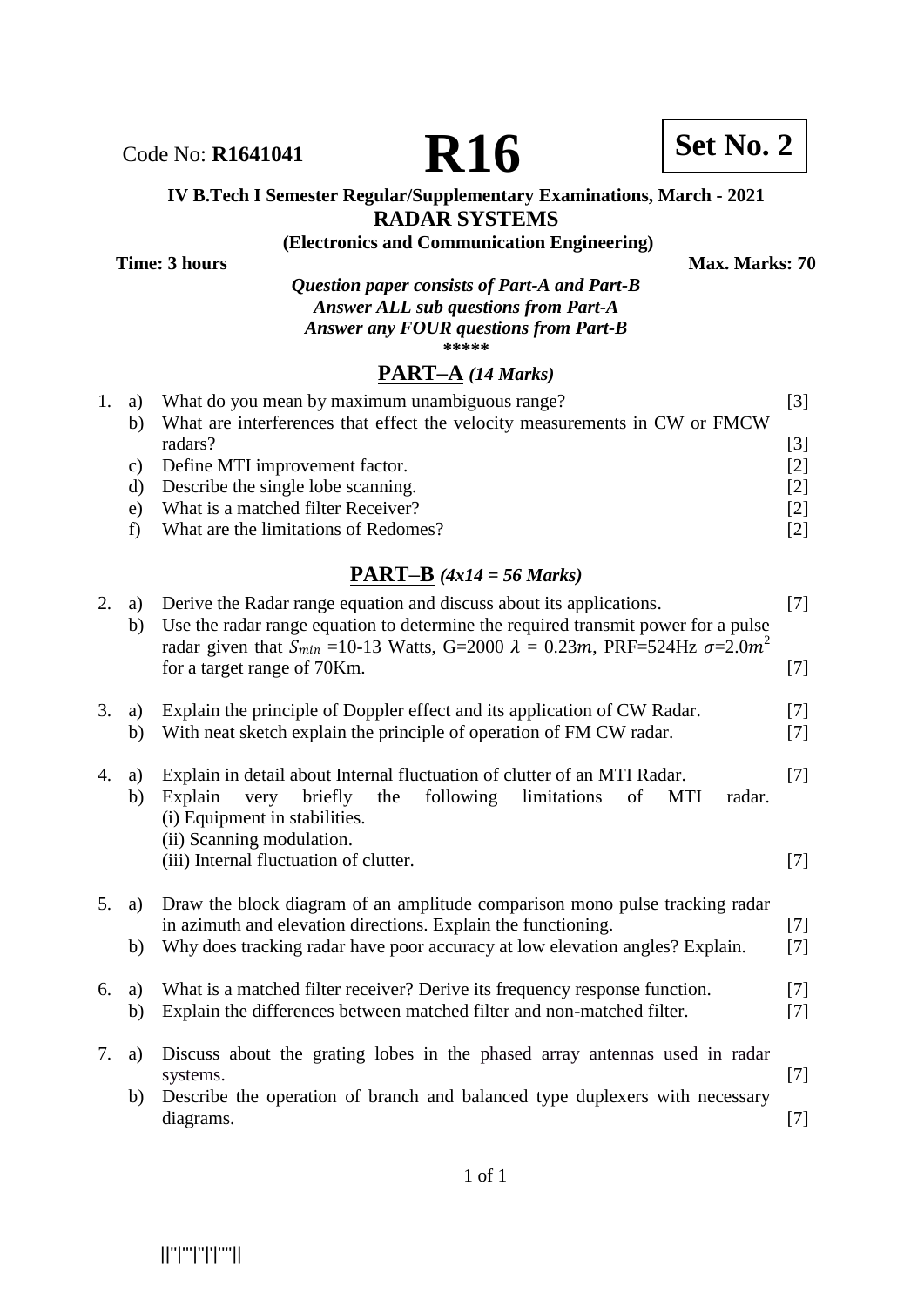

Code No: **R1641041 R16 Set No. 2** 

#### **IV B.Tech I Semester Regular/Supplementary Examinations, March - 2021 RADAR SYSTEMS**

**(Electronics and Communication Engineering)**

**Time: 3 hours** Max. Marks: 70

*Question paper consists of Part-A and Part-B Answer ALL sub questions from Part-A Answer any FOUR questions from Part-B* **\*\*\*\*\***

# **PART–A** *(14 Marks)*

| 1. a) | What do you mean by maximum unambiguous range?                             | [3] |
|-------|----------------------------------------------------------------------------|-----|
| b)    | What are interferences that effect the velocity measurements in CW or FMCW |     |
|       | radars?                                                                    | [3] |
| C)    | Define MTI improvement factor.                                             | [2] |
| d)    | Describe the single lobe scanning.                                         | [2] |
| e)    | What is a matched filter Receiver?                                         | [2] |
|       | What are the limitations of Redomes?                                       | [2] |

# **PART–B** *(4x14 = 56 Marks)*

| 2. | a)<br>b) | Derive the Radar range equation and discuss about its applications.<br>Use the radar range equation to determine the required transmit power for a pulse<br>radar given that $S_{min}$ =10-13 Watts, G=2000 $\lambda = 0.23m$ , PRF=524Hz $\sigma = 2.0m^2$<br>for a target range of 70Km. | $[7]$<br>$[7]$ |
|----|----------|--------------------------------------------------------------------------------------------------------------------------------------------------------------------------------------------------------------------------------------------------------------------------------------------|----------------|
| 3. | a)<br>b) | Explain the principle of Doppler effect and its application of CW Radar.<br>With neat sketch explain the principle of operation of FM CW radar.                                                                                                                                            | $[7]$<br>$[7]$ |
| 4. | a)<br>b) | Explain in detail about Internal fluctuation of clutter of an MTI Radar.<br>following<br>briefly<br>the<br>limitations<br>Explain<br>very<br>of<br><b>MTI</b><br>radar.<br>(i) Equipment in stabilities.<br>(ii) Scanning modulation.                                                      | $[7]$          |
|    |          | (iii) Internal fluctuation of clutter.                                                                                                                                                                                                                                                     | $[7]$          |
| 5. | a)       | Draw the block diagram of an amplitude comparison mono pulse tracking radar<br>in azimuth and elevation directions. Explain the functioning.                                                                                                                                               | $[7]$          |
|    | b)       | Why does tracking radar have poor accuracy at low elevation angles? Explain.                                                                                                                                                                                                               | $[7]$          |
| 6. | a)<br>b) | What is a matched filter receiver? Derive its frequency response function.<br>Explain the differences between matched filter and non-matched filter.                                                                                                                                       | $[7]$<br>$[7]$ |
| 7. | a)       | Discuss about the grating lobes in the phased array antennas used in radar<br>systems.                                                                                                                                                                                                     | $[7]$          |
|    | b)       | Describe the operation of branch and balanced type duplexers with necessary<br>diagrams.                                                                                                                                                                                                   | $[7]$          |
|    |          |                                                                                                                                                                                                                                                                                            |                |

||''|'''|''|'|''''||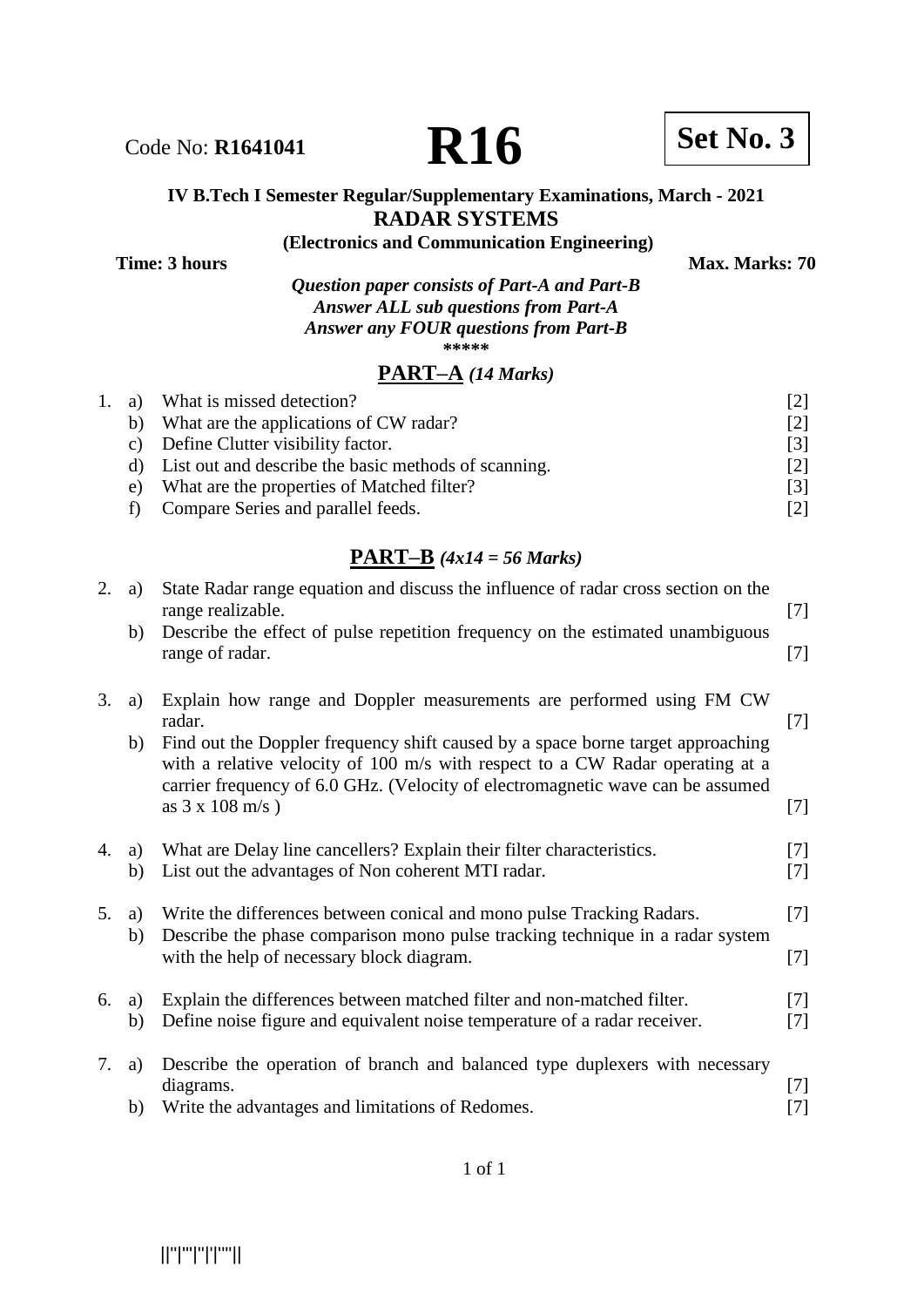#### **IV B.Tech I Semester Regular/Supplementary Examinations, March - 2021 RADAR SYSTEMS**

**(Electronics and Communication Engineering)**

**Time: 3 hours** Max. Marks: 70

*Question paper consists of Part-A and Part-B Answer ALL sub questions from Part-A Answer any FOUR questions from Part-B* **\*\*\*\*\***

### **PART–A** *(14 Marks)*

| 1. a) | What is missed detection?                            | 121               |
|-------|------------------------------------------------------|-------------------|
| b)    | What are the applications of CW radar?               | [2]               |
| C)    | Define Clutter visibility factor.                    | $\lceil 3 \rceil$ |
|       | List out and describe the basic methods of scanning. | [2]               |
| e)    | What are the properties of Matched filter?           | $\lceil 3 \rceil$ |
|       | Compare Series and parallel feeds.                   | 121               |

# **PART–B** *(4x14 = 56 Marks)*

| 2. | a)       | State Radar range equation and discuss the influence of radar cross section on the<br>range realizable.                                                                                                                                                                                                                              | $[7]$                                                                                                                                                                                                               |
|----|----------|--------------------------------------------------------------------------------------------------------------------------------------------------------------------------------------------------------------------------------------------------------------------------------------------------------------------------------------|---------------------------------------------------------------------------------------------------------------------------------------------------------------------------------------------------------------------|
|    | b)       | Describe the effect of pulse repetition frequency on the estimated unambiguous<br>range of radar.                                                                                                                                                                                                                                    | $[7]$                                                                                                                                                                                                               |
| 3. | a)<br>b) | Explain how range and Doppler measurements are performed using FM CW<br>radar.<br>Find out the Doppler frequency shift caused by a space borne target approaching<br>with a relative velocity of 100 m/s with respect to a CW Radar operating at a<br>carrier frequency of 6.0 GHz. (Velocity of electromagnetic wave can be assumed | $[7]$                                                                                                                                                                                                               |
|    |          | as $3 \times 108 \text{ m/s}$ )                                                                                                                                                                                                                                                                                                      | $[7]$                                                                                                                                                                                                               |
| 4. | a)<br>b) | What are Delay line cancellers? Explain their filter characteristics.<br>List out the advantages of Non coherent MTI radar.                                                                                                                                                                                                          | $[7]$<br>$[7]$                                                                                                                                                                                                      |
| 5. | a)       | Write the differences between conical and mono pulse Tracking Radars.                                                                                                                                                                                                                                                                | $[7]$                                                                                                                                                                                                               |
|    | b)       | Describe the phase comparison mono pulse tracking technique in a radar system<br>with the help of necessary block diagram.                                                                                                                                                                                                           | $[7]$                                                                                                                                                                                                               |
| 6. | a)<br>b) | Explain the differences between matched filter and non-matched filter.<br>Define noise figure and equivalent noise temperature of a radar receiver.                                                                                                                                                                                  | $[7]$<br>$[7]$                                                                                                                                                                                                      |
| 7. | a)<br>b) | Describe the operation of branch and balanced type duplexers with necessary<br>diagrams.<br>Write the advantages and limitations of Redomes.                                                                                                                                                                                         | $[7]$<br>$[7] % \includegraphics[width=0.9\columnwidth]{figures/fig_10.pdf} \caption{The 3D (black) model for the estimators in the left and right. The left and right is the same as in the right.} \label{fig:2}$ |
|    |          |                                                                                                                                                                                                                                                                                                                                      |                                                                                                                                                                                                                     |

Code No: **R1641041 R16 Set No. 3**